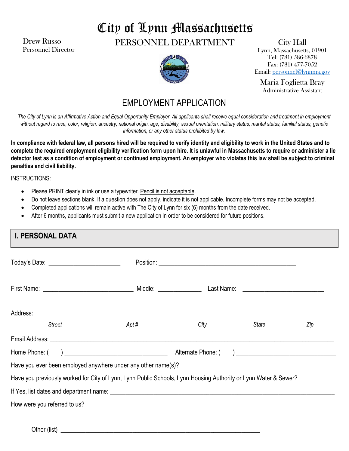Drew Russo Personnel Director

# City of Lynn Massachusetts

PERSONNEL DEPARTMENT



City Hall Lynn, Massachusetts, 01901 Tel: (781) 586-6878 Fax: (781) 477-7052 Email: personnel@lynnma.gov

Maria Foglietta Bray Administrative Assistant

## EMPLOYMENT APPLICATION

*The City of Lynn is an Affirmative Action and Equal Opportunity Employer. All applicants shall receive equal consideration and treatment in employment without regard to race, color, religion, ancestry, national origin, age, disability, sexual orientation, military status, marital status, familial status, genetic information, or any other status prohibited by law.*

**In compliance with federal law, all persons hired will be required to verify identity and eligibility to work in the United States and to complete the required employment eligibility verification form upon hire. It is unlawful in Massachusetts to require or administer a lie detector test as a condition of employment or continued employment. An employer who violates this law shall be subject to criminal penalties and civil liability.**

INSTRUCTIONS:

- Please PRINT clearly in ink or use a typewriter. Pencil is not acceptable.
- Do not leave sections blank. If a question does not apply, indicate it is not applicable. Incomplete forms may not be accepted.
- Completed applications will remain active with The City of Lynn for six (6) months from the date received.
- After 6 months, applicants must submit a new application in order to be considered for future positions.

| <b>I. PERSONAL DATA</b>                                                                                         |       |      |       |     |
|-----------------------------------------------------------------------------------------------------------------|-------|------|-------|-----|
| Today's Date: ____________________________                                                                      |       |      |       |     |
|                                                                                                                 |       |      |       |     |
|                                                                                                                 |       |      |       |     |
| Street                                                                                                          | Apt # | City | State | Zip |
|                                                                                                                 |       |      |       |     |
|                                                                                                                 |       |      |       |     |
| Have you ever been employed anywhere under any other name(s)?                                                   |       |      |       |     |
| Have you previously worked for City of Lynn, Lynn Public Schools, Lynn Housing Authority or Lynn Water & Sewer? |       |      |       |     |
|                                                                                                                 |       |      |       |     |
| How were you referred to us?                                                                                    |       |      |       |     |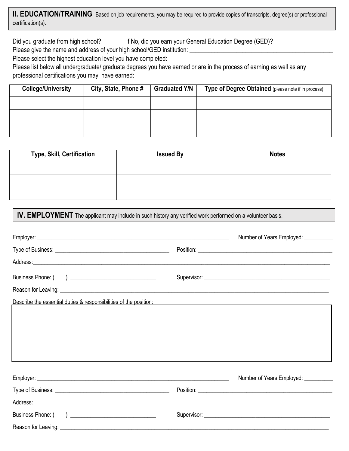**lI. EDUCATION/TRAINING** Based on job requirements, you may be required to provide copies of transcripts, degree(s) or professional certification(s).

Did you graduate from high school? If No, did you earn your General Education Degree (GED)?

Please give the name and address of your high school/GED institution:

Please select the highest education level you have completed:

Please list below all undergraduate/ graduate degrees you have earned or are in the process of earning as well as any professional certifications you may have earned:

| <b>College/University</b> | City, State, Phone # | <b>Graduated Y/N</b> | Type of Degree Obtained (please note if in process) |
|---------------------------|----------------------|----------------------|-----------------------------------------------------|
|                           |                      |                      |                                                     |
|                           |                      |                      |                                                     |
|                           |                      |                      |                                                     |

| Type, Skill, Certification | <b>Issued By</b> | <b>Notes</b> |
|----------------------------|------------------|--------------|
|                            |                  |              |
|                            |                  |              |
|                            |                  |              |

**IV. EMPLOYMENT** The applicant may include in such history any verified work performed on a volunteer basis.

|                                                                                                                                                                                                                                | Number of Years Employed: ___________                                                                                                                                                                                          |
|--------------------------------------------------------------------------------------------------------------------------------------------------------------------------------------------------------------------------------|--------------------------------------------------------------------------------------------------------------------------------------------------------------------------------------------------------------------------------|
|                                                                                                                                                                                                                                | Position: Position: Position: Position: Position: Position: Position: Position: Position: Position: Position: Position: Position: Position: Position: Position: Position: Position: Position: Position: Position: Position: Po |
|                                                                                                                                                                                                                                |                                                                                                                                                                                                                                |
|                                                                                                                                                                                                                                |                                                                                                                                                                                                                                |
|                                                                                                                                                                                                                                |                                                                                                                                                                                                                                |
| Describe the essential duties & responsibilities of the position: Described and the position of the position of the position of the position of the position of the position of the position of the position of the position o |                                                                                                                                                                                                                                |
|                                                                                                                                                                                                                                |                                                                                                                                                                                                                                |
|                                                                                                                                                                                                                                |                                                                                                                                                                                                                                |
|                                                                                                                                                                                                                                |                                                                                                                                                                                                                                |
|                                                                                                                                                                                                                                |                                                                                                                                                                                                                                |
|                                                                                                                                                                                                                                |                                                                                                                                                                                                                                |
|                                                                                                                                                                                                                                | Number of Years Employed: __________                                                                                                                                                                                           |
|                                                                                                                                                                                                                                |                                                                                                                                                                                                                                |
|                                                                                                                                                                                                                                |                                                                                                                                                                                                                                |
|                                                                                                                                                                                                                                |                                                                                                                                                                                                                                |
|                                                                                                                                                                                                                                |                                                                                                                                                                                                                                |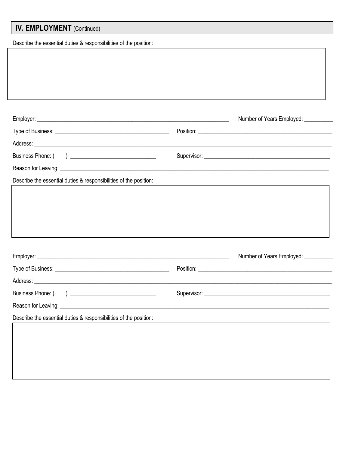# **IV. EMPLOYMENT** (Continued)

Describe the essential duties & responsibilities of the position:

|                                                                                                                                                                                                                                     | Number of Years Employed: ___________                                                                                                                                                                                          |
|-------------------------------------------------------------------------------------------------------------------------------------------------------------------------------------------------------------------------------------|--------------------------------------------------------------------------------------------------------------------------------------------------------------------------------------------------------------------------------|
|                                                                                                                                                                                                                                     |                                                                                                                                                                                                                                |
|                                                                                                                                                                                                                                     |                                                                                                                                                                                                                                |
|                                                                                                                                                                                                                                     |                                                                                                                                                                                                                                |
|                                                                                                                                                                                                                                     |                                                                                                                                                                                                                                |
| Describe the essential duties & responsibilities of the position:                                                                                                                                                                   |                                                                                                                                                                                                                                |
|                                                                                                                                                                                                                                     |                                                                                                                                                                                                                                |
|                                                                                                                                                                                                                                     | Number of Years Employed: ___________                                                                                                                                                                                          |
|                                                                                                                                                                                                                                     | Position: New York Changes and Changes and Changes and Changes and Changes and Changes and Changes and Changes and Changes and Changes and Changes and Changes and Changes and Changes and Changes and Changes and Changes and |
| Address: <u>Address:</u> Address: Address: Address: Address: Address: Address: Address: Address: Address: Address: Address: Address: Address: Address: Address: Address: Address: Address: Address: Address: Address: Address: Addr |                                                                                                                                                                                                                                |
|                                                                                                                                                                                                                                     |                                                                                                                                                                                                                                |
|                                                                                                                                                                                                                                     |                                                                                                                                                                                                                                |
| Describe the essential duties & responsibilities of the position:                                                                                                                                                                   |                                                                                                                                                                                                                                |
|                                                                                                                                                                                                                                     |                                                                                                                                                                                                                                |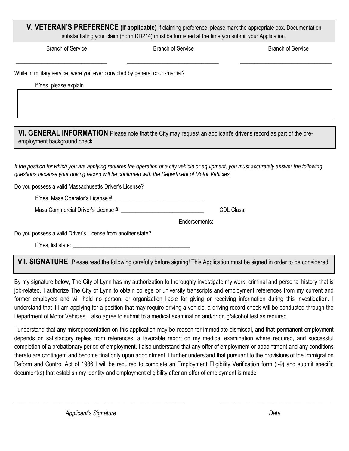## **V. VETERAN'S PREFERENCE (If applicable)** If claiming preference, please mark the appropriate box. Documentation substantiating your claim (Form DD214) must be furnished at the time you submit your Application.

\_\_\_\_\_\_\_\_\_\_\_\_\_\_\_\_\_\_\_\_\_\_\_\_\_\_\_\_\_\_\_\_ \_\_\_\_\_\_\_\_\_\_\_\_\_\_\_\_\_\_\_\_\_\_\_\_\_\_\_\_\_\_\_\_ \_\_\_\_\_\_\_\_\_\_\_\_\_\_\_\_\_\_\_\_\_\_\_\_\_\_\_\_\_\_\_\_

Branch of Service Branch of Service Branch of Service

While in military service, were you ever convicted by general court-martial?

If Yes, please explain

**VI. GENERAL INFORMATION** Please note that the City may request an applicant's driver's record as part of the preemployment background check.

*If the position for which you are applying requires the operation of a city vehicle or equipment, you must accurately answer the following questions because your driving record will be confirmed with the Department of Motor Vehicles.*

Do you possess a valid Massachusetts Driver's License?

If Yes, Mass Operator's License # \_\_\_\_\_\_\_\_\_\_\_\_\_\_\_\_\_\_\_\_\_\_\_\_\_\_\_\_\_\_\_

Mass Commercial Driver's License # \_\_\_\_\_\_\_\_\_\_\_\_\_\_\_\_\_\_\_\_\_\_\_\_\_\_\_\_\_ CDL Class:

Endorsements:

Do you possess a valid Driver's License from another state?

If Yes, list state:  $\blacksquare$ 

**Vll. SIGNATURE** Please read the following carefully before signing! This Application must be signed in order to be considered.

By my signature below, The City of Lynn has my authorization to thoroughly investigate my work, criminal and personal history that is job-related. I authorize The City of Lynn to obtain college or university transcripts and employment references from my current and former employers and will hold no person, or organization liable for giving or receiving information during this investigation. I understand that if I am applying for a position that may require driving a vehicle, a driving record check will be conducted through the Department of Motor Vehicles. I also agree to submit to a medical examination and/or drug/alcohol test as required.

I understand that any misrepresentation on this application may be reason for immediate dismissal, and that permanent employment depends on satisfactory replies from references, a favorable report on my medical examination where required, and successful completion of a probationary period of employment. I also understand that any offer of employment or appointment and any conditions thereto are contingent and become final only upon appointment. I further understand that pursuant to the provisions of the Immigration Reform and Control Act of 1986 I will be required to complete an Employment Eligibility Verification form (I-9) and submit specific document(s) that establish my identity and employment eligibility after an offer of employment is made

 $\_$  ,  $\_$  ,  $\_$  ,  $\_$  ,  $\_$  ,  $\_$  ,  $\_$  ,  $\_$  ,  $\_$  ,  $\_$  ,  $\_$  ,  $\_$  ,  $\_$  ,  $\_$  ,  $\_$  ,  $\_$  ,  $\_$  ,  $\_$  ,  $\_$  ,  $\_$  ,  $\_$  ,  $\_$  ,  $\_$  ,  $\_$  ,  $\_$  ,  $\_$  ,  $\_$  ,  $\_$  ,  $\_$  ,  $\_$  ,  $\_$  ,  $\_$  ,  $\_$  ,  $\_$  ,  $\_$  ,  $\_$  ,  $\_$  ,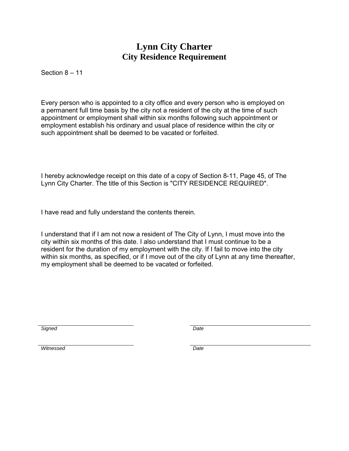## **Lynn City Charter City Residence Requirement**

Section 8 – 11

Every person who is appointed to a city office and every person who is employed on a permanent full time basis by the city not a resident of the city at the time of such appointment or employment shall within six months following such appointment or employment establish his ordinary and usual place of residence within the city or such appointment shall be deemed to be vacated or forfeited.

I hereby acknowledge receipt on this date of a copy of Section 8-11, Page 45, of The Lynn City Charter. The title of this Section is "CITY RESIDENCE REQUIRED".

I have read and fully understand the contents therein.

I understand that if I am not now a resident of The City of Lynn, I must move into the city within six months of this date. I also understand that I must continue to be a resident for the duration of my employment with the city. If I fail to move into the city within six months, as specified, or if I move out of the city of Lynn at any time thereafter, my employment shall be deemed to be vacated or forfeited.

*Signed Date*

*Witnessed Date*